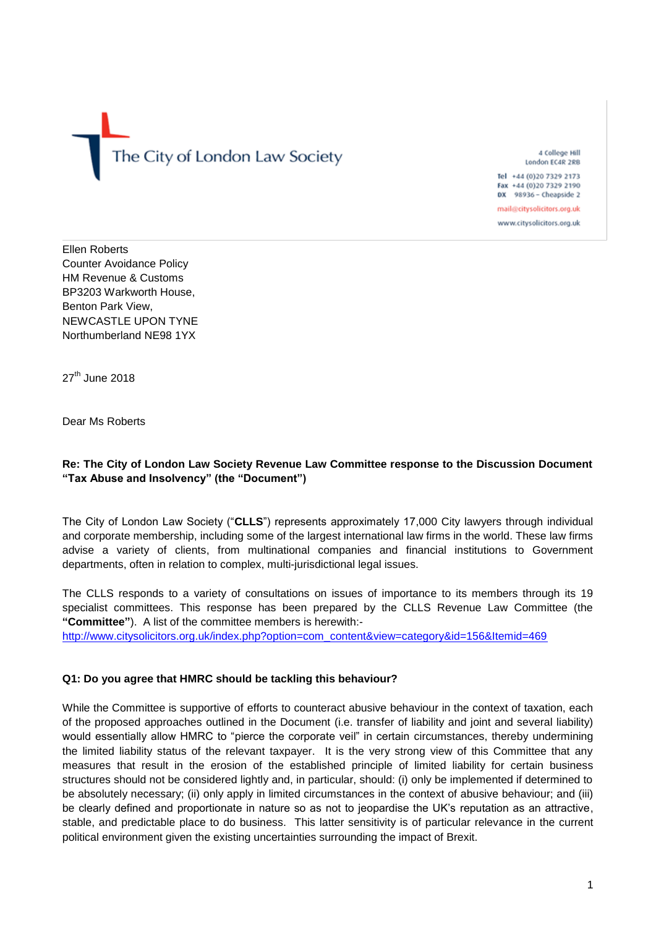The City of London Law Society

4 College Hill London EC4R 2RB

Tel +44 (0) 20 7329 2173 Fax +44 (0)20 7329 2190 DX 98936 - Cheapside 2

mail@citysolicitors.org.uk

www.citysolicitors.org.uk

Ellen Roberts Counter Avoidance Policy HM Revenue & Customs BP3203 Warkworth House, Benton Park View, NEWCASTLE UPON TYNE Northumberland NE98 1YX

27<sup>th</sup> June 2018

Dear Ms Roberts

# **Re: The City of London Law Society Revenue Law Committee response to the Discussion Document "Tax Abuse and Insolvency" (the "Document")**

The City of London Law Society ("**CLLS**") represents approximately 17,000 City lawyers through individual and corporate membership, including some of the largest international law firms in the world. These law firms advise a variety of clients, from multinational companies and financial institutions to Government departments, often in relation to complex, multi-jurisdictional legal issues.

The CLLS responds to a variety of consultations on issues of importance to its members through its 19 specialist committees. This response has been prepared by the CLLS Revenue Law Committee (the **"Committee"**). A list of the committee members is herewith:-

[http://www.citysolicitors.org.uk/index.php?option=com\\_content&view=category&id=156&Itemid=469](http://www.citysolicitors.org.uk/index.php?option=com_content&view=category&id=156&Itemid=469)

# **Q1: Do you agree that HMRC should be tackling this behaviour?**

While the Committee is supportive of efforts to counteract abusive behaviour in the context of taxation, each of the proposed approaches outlined in the Document (i.e. transfer of liability and joint and several liability) would essentially allow HMRC to "pierce the corporate veil" in certain circumstances, thereby undermining the limited liability status of the relevant taxpayer. It is the very strong view of this Committee that any measures that result in the erosion of the established principle of limited liability for certain business structures should not be considered lightly and, in particular, should: (i) only be implemented if determined to be absolutely necessary; (ii) only apply in limited circumstances in the context of abusive behaviour; and (iii) be clearly defined and proportionate in nature so as not to jeopardise the UK's reputation as an attractive, stable, and predictable place to do business. This latter sensitivity is of particular relevance in the current political environment given the existing uncertainties surrounding the impact of Brexit.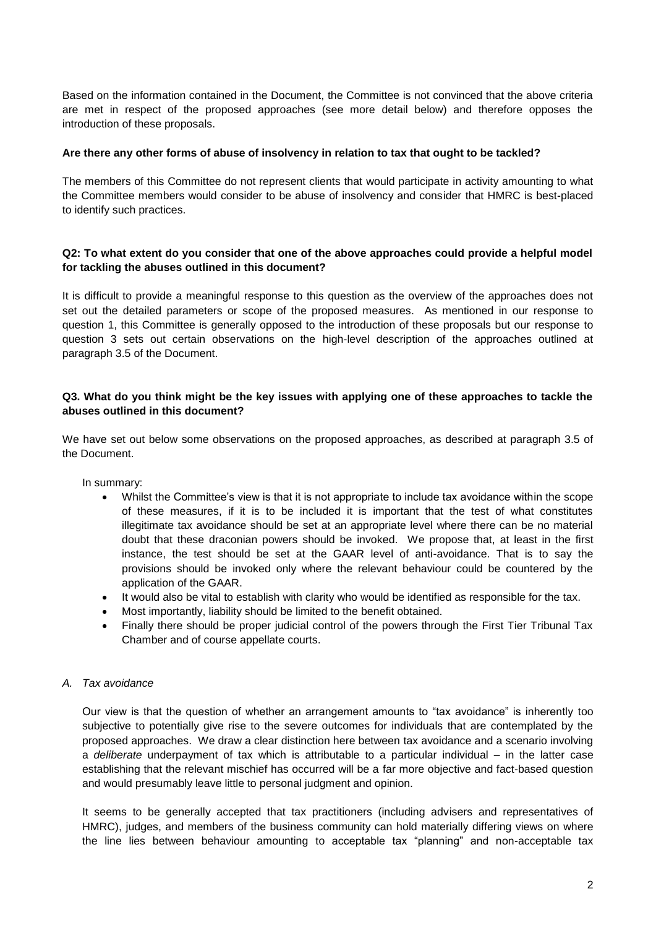Based on the information contained in the Document, the Committee is not convinced that the above criteria are met in respect of the proposed approaches (see more detail below) and therefore opposes the introduction of these proposals.

#### **Are there any other forms of abuse of insolvency in relation to tax that ought to be tackled?**

The members of this Committee do not represent clients that would participate in activity amounting to what the Committee members would consider to be abuse of insolvency and consider that HMRC is best-placed to identify such practices.

# **Q2: To what extent do you consider that one of the above approaches could provide a helpful model for tackling the abuses outlined in this document?**

It is difficult to provide a meaningful response to this question as the overview of the approaches does not set out the detailed parameters or scope of the proposed measures. As mentioned in our response to question 1, this Committee is generally opposed to the introduction of these proposals but our response to question 3 sets out certain observations on the high-level description of the approaches outlined at paragraph 3.5 of the Document.

# **Q3. What do you think might be the key issues with applying one of these approaches to tackle the abuses outlined in this document?**

We have set out below some observations on the proposed approaches, as described at paragraph 3.5 of the Document.

In summary:

- Whilst the Committee's view is that it is not appropriate to include tax avoidance within the scope of these measures, if it is to be included it is important that the test of what constitutes illegitimate tax avoidance should be set at an appropriate level where there can be no material doubt that these draconian powers should be invoked. We propose that, at least in the first instance, the test should be set at the GAAR level of anti-avoidance. That is to say the provisions should be invoked only where the relevant behaviour could be countered by the application of the GAAR.
- It would also be vital to establish with clarity who would be identified as responsible for the tax.
- Most importantly, liability should be limited to the benefit obtained.
- Finally there should be proper judicial control of the powers through the First Tier Tribunal Tax Chamber and of course appellate courts.

# *A. Tax avoidance*

Our view is that the question of whether an arrangement amounts to "tax avoidance" is inherently too subjective to potentially give rise to the severe outcomes for individuals that are contemplated by the proposed approaches. We draw a clear distinction here between tax avoidance and a scenario involving a *deliberate* underpayment of tax which is attributable to a particular individual – in the latter case establishing that the relevant mischief has occurred will be a far more objective and fact-based question and would presumably leave little to personal judgment and opinion.

It seems to be generally accepted that tax practitioners (including advisers and representatives of HMRC), judges, and members of the business community can hold materially differing views on where the line lies between behaviour amounting to acceptable tax "planning" and non-acceptable tax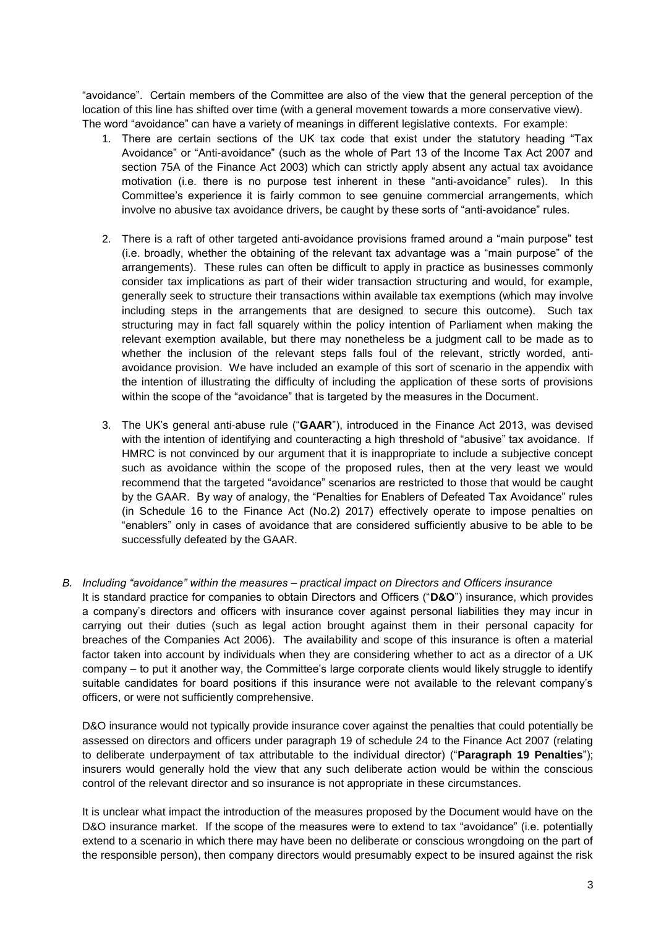"avoidance". Certain members of the Committee are also of the view that the general perception of the location of this line has shifted over time (with a general movement towards a more conservative view). The word "avoidance" can have a variety of meanings in different legislative contexts. For example:

- 1. There are certain sections of the UK tax code that exist under the statutory heading "Tax Avoidance" or "Anti-avoidance" (such as the whole of Part 13 of the Income Tax Act 2007 and section 75A of the Finance Act 2003) which can strictly apply absent any actual tax avoidance motivation (i.e. there is no purpose test inherent in these "anti-avoidance" rules). In this Committee's experience it is fairly common to see genuine commercial arrangements, which involve no abusive tax avoidance drivers, be caught by these sorts of "anti-avoidance" rules.
- 2. There is a raft of other targeted anti-avoidance provisions framed around a "main purpose" test (i.e. broadly, whether the obtaining of the relevant tax advantage was a "main purpose" of the arrangements). These rules can often be difficult to apply in practice as businesses commonly consider tax implications as part of their wider transaction structuring and would, for example, generally seek to structure their transactions within available tax exemptions (which may involve including steps in the arrangements that are designed to secure this outcome). Such tax structuring may in fact fall squarely within the policy intention of Parliament when making the relevant exemption available, but there may nonetheless be a judgment call to be made as to whether the inclusion of the relevant steps falls foul of the relevant, strictly worded, antiavoidance provision. We have included an example of this sort of scenario in the appendix with the intention of illustrating the difficulty of including the application of these sorts of provisions within the scope of the "avoidance" that is targeted by the measures in the Document.
- 3. The UK's general anti-abuse rule ("**GAAR**"), introduced in the Finance Act 2013, was devised with the intention of identifying and counteracting a high threshold of "abusive" tax avoidance. If HMRC is not convinced by our argument that it is inappropriate to include a subjective concept such as avoidance within the scope of the proposed rules, then at the very least we would recommend that the targeted "avoidance" scenarios are restricted to those that would be caught by the GAAR. By way of analogy, the "Penalties for Enablers of Defeated Tax Avoidance" rules (in Schedule 16 to the Finance Act (No.2) 2017) effectively operate to impose penalties on "enablers" only in cases of avoidance that are considered sufficiently abusive to be able to be successfully defeated by the GAAR.
- *B. Including "avoidance" within the measures – practical impact on Directors and Officers insurance*  It is standard practice for companies to obtain Directors and Officers ("**D&O**") insurance, which provides a company's directors and officers with insurance cover against personal liabilities they may incur in carrying out their duties (such as legal action brought against them in their personal capacity for breaches of the Companies Act 2006). The availability and scope of this insurance is often a material factor taken into account by individuals when they are considering whether to act as a director of a UK company – to put it another way, the Committee's large corporate clients would likely struggle to identify suitable candidates for board positions if this insurance were not available to the relevant company's officers, or were not sufficiently comprehensive.

D&O insurance would not typically provide insurance cover against the penalties that could potentially be assessed on directors and officers under paragraph 19 of schedule 24 to the Finance Act 2007 (relating to deliberate underpayment of tax attributable to the individual director) ("**Paragraph 19 Penalties**"); insurers would generally hold the view that any such deliberate action would be within the conscious control of the relevant director and so insurance is not appropriate in these circumstances.

It is unclear what impact the introduction of the measures proposed by the Document would have on the D&O insurance market. If the scope of the measures were to extend to tax "avoidance" (i.e. potentially extend to a scenario in which there may have been no deliberate or conscious wrongdoing on the part of the responsible person), then company directors would presumably expect to be insured against the risk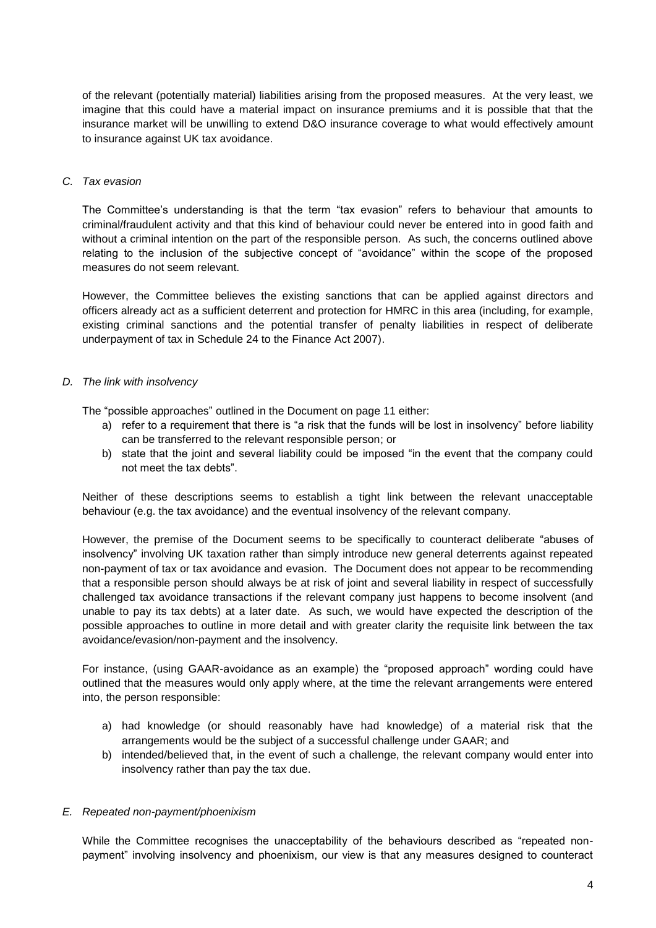of the relevant (potentially material) liabilities arising from the proposed measures. At the very least, we imagine that this could have a material impact on insurance premiums and it is possible that that the insurance market will be unwilling to extend D&O insurance coverage to what would effectively amount to insurance against UK tax avoidance.

#### *C. Tax evasion*

The Committee's understanding is that the term "tax evasion" refers to behaviour that amounts to criminal/fraudulent activity and that this kind of behaviour could never be entered into in good faith and without a criminal intention on the part of the responsible person. As such, the concerns outlined above relating to the inclusion of the subjective concept of "avoidance" within the scope of the proposed measures do not seem relevant.

However, the Committee believes the existing sanctions that can be applied against directors and officers already act as a sufficient deterrent and protection for HMRC in this area (including, for example, existing criminal sanctions and the potential transfer of penalty liabilities in respect of deliberate underpayment of tax in Schedule 24 to the Finance Act 2007).

# *D. The link with insolvency*

The "possible approaches" outlined in the Document on page 11 either:

- a) refer to a requirement that there is "a risk that the funds will be lost in insolvency" before liability can be transferred to the relevant responsible person; or
- b) state that the joint and several liability could be imposed "in the event that the company could not meet the tax debts".

Neither of these descriptions seems to establish a tight link between the relevant unacceptable behaviour (e.g. the tax avoidance) and the eventual insolvency of the relevant company.

However, the premise of the Document seems to be specifically to counteract deliberate "abuses of insolvency" involving UK taxation rather than simply introduce new general deterrents against repeated non-payment of tax or tax avoidance and evasion. The Document does not appear to be recommending that a responsible person should always be at risk of joint and several liability in respect of successfully challenged tax avoidance transactions if the relevant company just happens to become insolvent (and unable to pay its tax debts) at a later date. As such, we would have expected the description of the possible approaches to outline in more detail and with greater clarity the requisite link between the tax avoidance/evasion/non-payment and the insolvency.

For instance, (using GAAR-avoidance as an example) the "proposed approach" wording could have outlined that the measures would only apply where, at the time the relevant arrangements were entered into, the person responsible:

- a) had knowledge (or should reasonably have had knowledge) of a material risk that the arrangements would be the subject of a successful challenge under GAAR; and
- b) intended/believed that, in the event of such a challenge, the relevant company would enter into insolvency rather than pay the tax due.

# *E. Repeated non-payment/phoenixism*

While the Committee recognises the unacceptability of the behaviours described as "repeated nonpayment" involving insolvency and phoenixism, our view is that any measures designed to counteract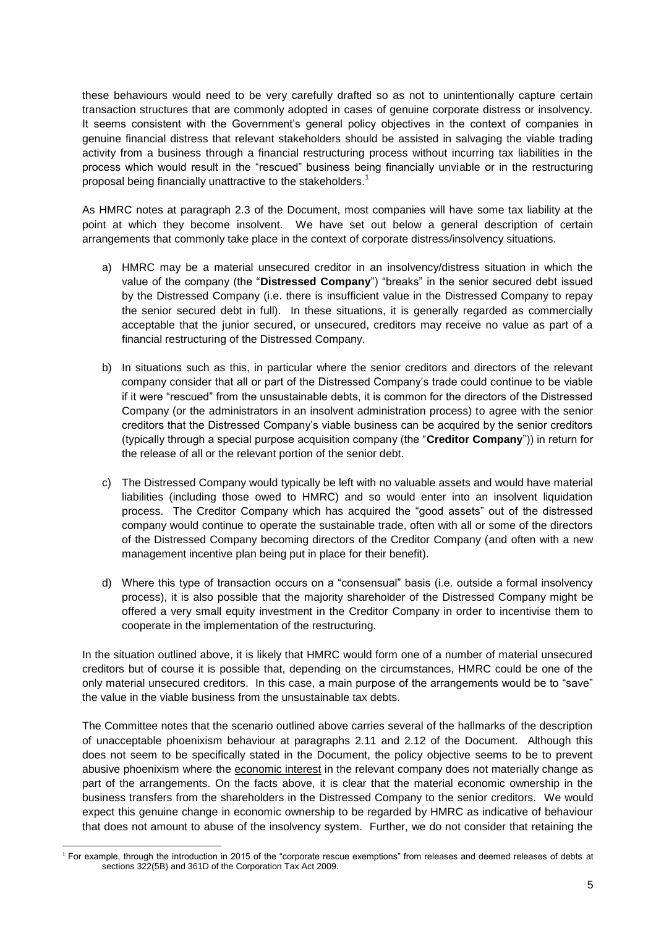these behaviours would need to be very carefully drafted so as not to unintentionally capture certain transaction structures that are commonly adopted in cases of genuine corporate distress or insolvency. It seems consistent with the Government's general policy objectives in the context of companies in genuine financial distress that relevant stakeholders should be assisted in salvaging the viable trading activity from a business through a financial restructuring process without incurring tax liabilities in the process which would result in the "rescued" business being financially unviable or in the restructuring proposal being financially unattractive to the stakeholders.<sup>1</sup>

As HMRC notes at paragraph 2.3 of the Document, most companies will have some tax liability at the point at which they become insolvent. We have set out below a general description of certain arrangements that commonly take place in the context of corporate distress/insolvency situations.

- a) HMRC may be a material unsecured creditor in an insolvency/distress situation in which the value of the company (the "**Distressed Company**") "breaks" in the senior secured debt issued by the Distressed Company (i.e. there is insufficient value in the Distressed Company to repay the senior secured debt in full). In these situations, it is generally regarded as commercially acceptable that the junior secured, or unsecured, creditors may receive no value as part of a financial restructuring of the Distressed Company.
- b) In situations such as this, in particular where the senior creditors and directors of the relevant company consider that all or part of the Distressed Company's trade could continue to be viable if it were "rescued" from the unsustainable debts, it is common for the directors of the Distressed Company (or the administrators in an insolvent administration process) to agree with the senior creditors that the Distressed Company's viable business can be acquired by the senior creditors (typically through a special purpose acquisition company (the "**Creditor Company**")) in return for the release of all or the relevant portion of the senior debt.
- c) The Distressed Company would typically be left with no valuable assets and would have material liabilities (including those owed to HMRC) and so would enter into an insolvent liquidation process. The Creditor Company which has acquired the "good assets" out of the distressed company would continue to operate the sustainable trade, often with all or some of the directors of the Distressed Company becoming directors of the Creditor Company (and often with a new management incentive plan being put in place for their benefit).
- d) Where this type of transaction occurs on a "consensual" basis (i.e. outside a formal insolvency process), it is also possible that the majority shareholder of the Distressed Company might be offered a very small equity investment in the Creditor Company in order to incentivise them to cooperate in the implementation of the restructuring.

In the situation outlined above, it is likely that HMRC would form one of a number of material unsecured creditors but of course it is possible that, depending on the circumstances, HMRC could be one of the only material unsecured creditors. In this case, a main purpose of the arrangements would be to "save" the value in the viable business from the unsustainable tax debts.

The Committee notes that the scenario outlined above carries several of the hallmarks of the description of unacceptable phoenixism behaviour at paragraphs 2.11 and 2.12 of the Document. Although this does not seem to be specifically stated in the Document, the policy objective seems to be to prevent abusive phoenixism where the economic interest in the relevant company does not materially change as part of the arrangements. On the facts above, it is clear that the material economic ownership in the business transfers from the shareholders in the Distressed Company to the senior creditors. We would expect this genuine change in economic ownership to be regarded by HMRC as indicative of behaviour that does not amount to abuse of the insolvency system. Further, we do not consider that retaining the

<sup>1</sup> <sup>1</sup> For example, through the introduction in 2015 of the "corporate rescue exemptions" from releases and deemed releases of debts at sections 322(5B) and 361D of the Corporation Tax Act 2009.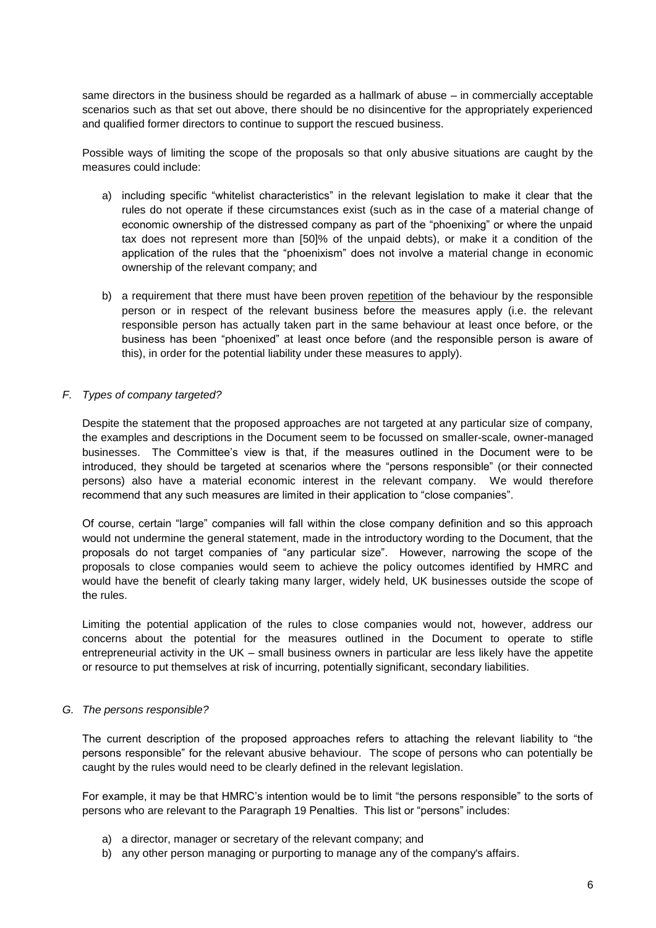same directors in the business should be regarded as a hallmark of abuse – in commercially acceptable scenarios such as that set out above, there should be no disincentive for the appropriately experienced and qualified former directors to continue to support the rescued business.

Possible ways of limiting the scope of the proposals so that only abusive situations are caught by the measures could include:

- a) including specific "whitelist characteristics" in the relevant legislation to make it clear that the rules do not operate if these circumstances exist (such as in the case of a material change of economic ownership of the distressed company as part of the "phoenixing" or where the unpaid tax does not represent more than [50]% of the unpaid debts), or make it a condition of the application of the rules that the "phoenixism" does not involve a material change in economic ownership of the relevant company; and
- b) a requirement that there must have been proven repetition of the behaviour by the responsible person or in respect of the relevant business before the measures apply (i.e. the relevant responsible person has actually taken part in the same behaviour at least once before, or the business has been "phoenixed" at least once before (and the responsible person is aware of this), in order for the potential liability under these measures to apply).

# *F. Types of company targeted?*

Despite the statement that the proposed approaches are not targeted at any particular size of company, the examples and descriptions in the Document seem to be focussed on smaller-scale, owner-managed businesses. The Committee's view is that, if the measures outlined in the Document were to be introduced, they should be targeted at scenarios where the "persons responsible" (or their connected persons) also have a material economic interest in the relevant company. We would therefore recommend that any such measures are limited in their application to "close companies".

Of course, certain "large" companies will fall within the close company definition and so this approach would not undermine the general statement, made in the introductory wording to the Document, that the proposals do not target companies of "any particular size". However, narrowing the scope of the proposals to close companies would seem to achieve the policy outcomes identified by HMRC and would have the benefit of clearly taking many larger, widely held, UK businesses outside the scope of the rules.

Limiting the potential application of the rules to close companies would not, however, address our concerns about the potential for the measures outlined in the Document to operate to stifle entrepreneurial activity in the UK – small business owners in particular are less likely have the appetite or resource to put themselves at risk of incurring, potentially significant, secondary liabilities.

# *G. The persons responsible?*

The current description of the proposed approaches refers to attaching the relevant liability to "the persons responsible" for the relevant abusive behaviour. The scope of persons who can potentially be caught by the rules would need to be clearly defined in the relevant legislation.

For example, it may be that HMRC's intention would be to limit "the persons responsible" to the sorts of persons who are relevant to the Paragraph 19 Penalties. This list or "persons" includes:

- a) a director, manager or secretary of the relevant company; and
- b) any other person managing or purporting to manage any of the company's affairs.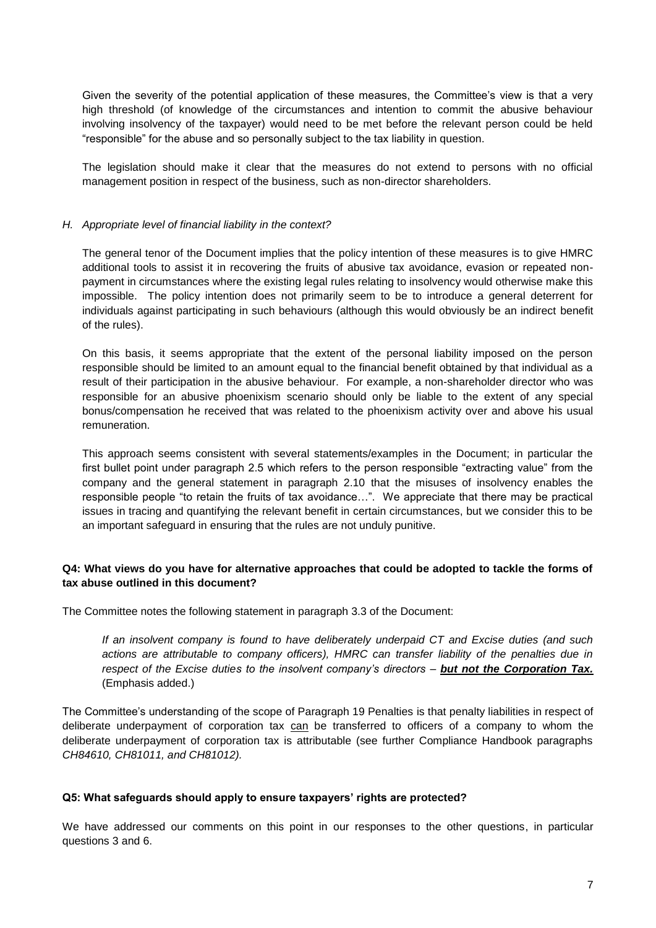Given the severity of the potential application of these measures, the Committee's view is that a very high threshold (of knowledge of the circumstances and intention to commit the abusive behaviour involving insolvency of the taxpayer) would need to be met before the relevant person could be held "responsible" for the abuse and so personally subject to the tax liability in question.

The legislation should make it clear that the measures do not extend to persons with no official management position in respect of the business, such as non-director shareholders.

#### *H. Appropriate level of financial liability in the context?*

The general tenor of the Document implies that the policy intention of these measures is to give HMRC additional tools to assist it in recovering the fruits of abusive tax avoidance, evasion or repeated nonpayment in circumstances where the existing legal rules relating to insolvency would otherwise make this impossible. The policy intention does not primarily seem to be to introduce a general deterrent for individuals against participating in such behaviours (although this would obviously be an indirect benefit of the rules).

On this basis, it seems appropriate that the extent of the personal liability imposed on the person responsible should be limited to an amount equal to the financial benefit obtained by that individual as a result of their participation in the abusive behaviour. For example, a non-shareholder director who was responsible for an abusive phoenixism scenario should only be liable to the extent of any special bonus/compensation he received that was related to the phoenixism activity over and above his usual remuneration.

This approach seems consistent with several statements/examples in the Document; in particular the first bullet point under paragraph 2.5 which refers to the person responsible "extracting value" from the company and the general statement in paragraph 2.10 that the misuses of insolvency enables the responsible people "to retain the fruits of tax avoidance…". We appreciate that there may be practical issues in tracing and quantifying the relevant benefit in certain circumstances, but we consider this to be an important safeguard in ensuring that the rules are not unduly punitive.

# **Q4: What views do you have for alternative approaches that could be adopted to tackle the forms of tax abuse outlined in this document?**

The Committee notes the following statement in paragraph 3.3 of the Document:

*If an insolvent company is found to have deliberately underpaid CT and Excise duties (and such actions are attributable to company officers), HMRC can transfer liability of the penalties due in respect of the Excise duties to the insolvent company's directors – but not the Corporation Tax.* (Emphasis added.)

The Committee's understanding of the scope of Paragraph 19 Penalties is that penalty liabilities in respect of deliberate underpayment of corporation tax can be transferred to officers of a company to whom the deliberate underpayment of corporation tax is attributable (see further Compliance Handbook paragraphs *CH84610, CH81011, and CH81012).*

#### **Q5: What safeguards should apply to ensure taxpayers' rights are protected?**

We have addressed our comments on this point in our responses to the other questions, in particular questions 3 and 6.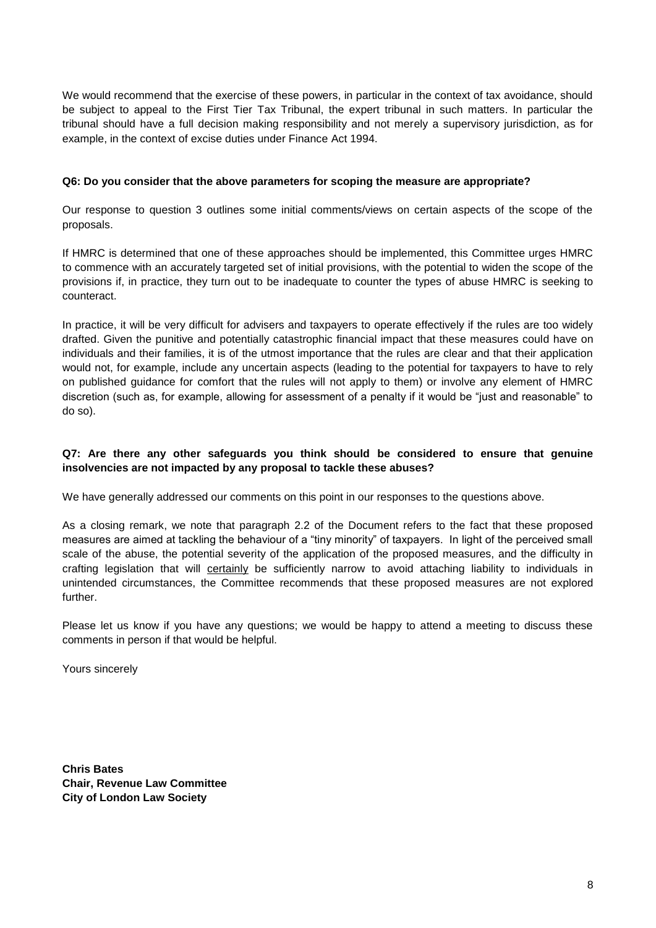We would recommend that the exercise of these powers, in particular in the context of tax avoidance, should be subject to appeal to the First Tier Tax Tribunal, the expert tribunal in such matters. In particular the tribunal should have a full decision making responsibility and not merely a supervisory jurisdiction, as for example, in the context of excise duties under Finance Act 1994.

#### **Q6: Do you consider that the above parameters for scoping the measure are appropriate?**

Our response to question 3 outlines some initial comments/views on certain aspects of the scope of the proposals.

If HMRC is determined that one of these approaches should be implemented, this Committee urges HMRC to commence with an accurately targeted set of initial provisions, with the potential to widen the scope of the provisions if, in practice, they turn out to be inadequate to counter the types of abuse HMRC is seeking to counteract.

In practice, it will be very difficult for advisers and taxpayers to operate effectively if the rules are too widely drafted. Given the punitive and potentially catastrophic financial impact that these measures could have on individuals and their families, it is of the utmost importance that the rules are clear and that their application would not, for example, include any uncertain aspects (leading to the potential for taxpayers to have to rely on published guidance for comfort that the rules will not apply to them) or involve any element of HMRC discretion (such as, for example, allowing for assessment of a penalty if it would be "just and reasonable" to do so).

# **Q7: Are there any other safeguards you think should be considered to ensure that genuine insolvencies are not impacted by any proposal to tackle these abuses?**

We have generally addressed our comments on this point in our responses to the questions above.

As a closing remark, we note that paragraph 2.2 of the Document refers to the fact that these proposed measures are aimed at tackling the behaviour of a "tiny minority" of taxpayers. In light of the perceived small scale of the abuse, the potential severity of the application of the proposed measures, and the difficulty in crafting legislation that will certainly be sufficiently narrow to avoid attaching liability to individuals in unintended circumstances, the Committee recommends that these proposed measures are not explored further.

Please let us know if you have any questions; we would be happy to attend a meeting to discuss these comments in person if that would be helpful.

Yours sincerely

**Chris Bates Chair, Revenue Law Committee City of London Law Society**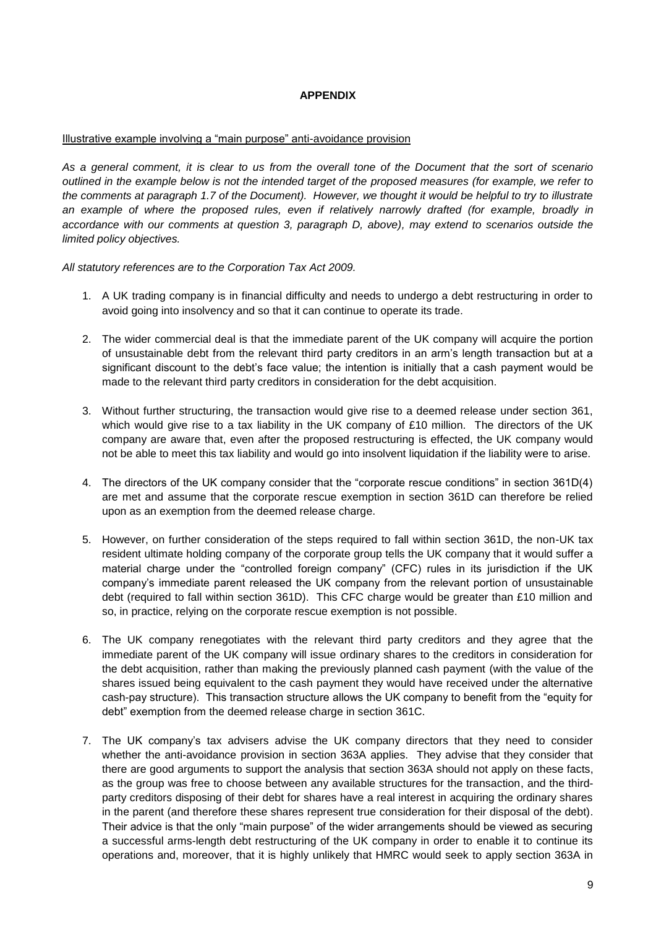# **APPENDIX**

#### Illustrative example involving a "main purpose" anti-avoidance provision

*As a general comment, it is clear to us from the overall tone of the Document that the sort of scenario outlined in the example below is not the intended target of the proposed measures (for example, we refer to the comments at paragraph 1.7 of the Document). However, we thought it would be helpful to try to illustrate an example of where the proposed rules, even if relatively narrowly drafted (for example, broadly in accordance with our comments at question 3, paragraph D, above), may extend to scenarios outside the limited policy objectives.* 

*All statutory references are to the Corporation Tax Act 2009.* 

- 1. A UK trading company is in financial difficulty and needs to undergo a debt restructuring in order to avoid going into insolvency and so that it can continue to operate its trade.
- 2. The wider commercial deal is that the immediate parent of the UK company will acquire the portion of unsustainable debt from the relevant third party creditors in an arm's length transaction but at a significant discount to the debt's face value; the intention is initially that a cash payment would be made to the relevant third party creditors in consideration for the debt acquisition.
- 3. Without further structuring, the transaction would give rise to a deemed release under section 361, which would give rise to a tax liability in the UK company of £10 million. The directors of the UK company are aware that, even after the proposed restructuring is effected, the UK company would not be able to meet this tax liability and would go into insolvent liquidation if the liability were to arise.
- 4. The directors of the UK company consider that the "corporate rescue conditions" in section 361D(4) are met and assume that the corporate rescue exemption in section 361D can therefore be relied upon as an exemption from the deemed release charge.
- 5. However, on further consideration of the steps required to fall within section 361D, the non-UK tax resident ultimate holding company of the corporate group tells the UK company that it would suffer a material charge under the "controlled foreign company" (CFC) rules in its jurisdiction if the UK company's immediate parent released the UK company from the relevant portion of unsustainable debt (required to fall within section 361D). This CFC charge would be greater than £10 million and so, in practice, relying on the corporate rescue exemption is not possible.
- 6. The UK company renegotiates with the relevant third party creditors and they agree that the immediate parent of the UK company will issue ordinary shares to the creditors in consideration for the debt acquisition, rather than making the previously planned cash payment (with the value of the shares issued being equivalent to the cash payment they would have received under the alternative cash-pay structure). This transaction structure allows the UK company to benefit from the "equity for debt" exemption from the deemed release charge in section 361C.
- 7. The UK company's tax advisers advise the UK company directors that they need to consider whether the anti-avoidance provision in section 363A applies. They advise that they consider that there are good arguments to support the analysis that section 363A should not apply on these facts, as the group was free to choose between any available structures for the transaction, and the thirdparty creditors disposing of their debt for shares have a real interest in acquiring the ordinary shares in the parent (and therefore these shares represent true consideration for their disposal of the debt). Their advice is that the only "main purpose" of the wider arrangements should be viewed as securing a successful arms-length debt restructuring of the UK company in order to enable it to continue its operations and, moreover, that it is highly unlikely that HMRC would seek to apply section 363A in